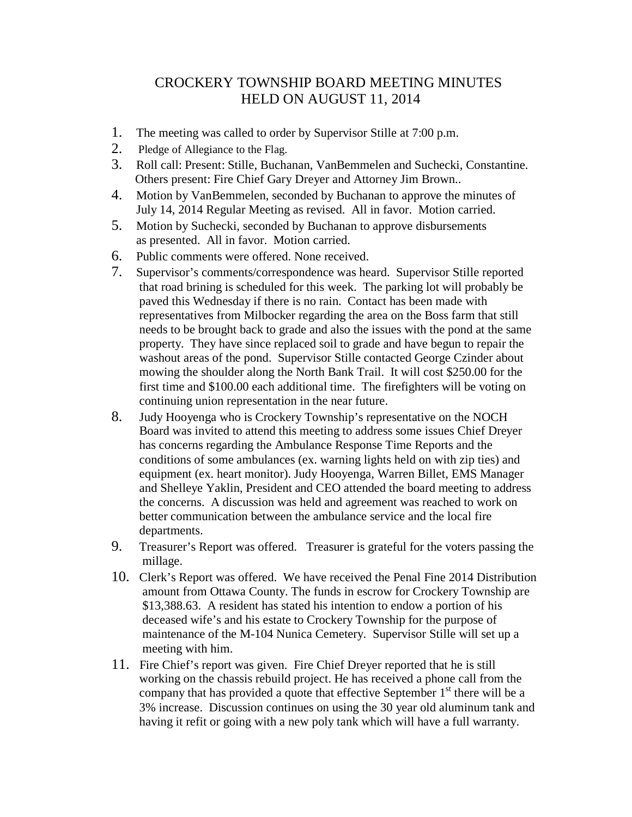## CROCKERY TOWNSHIP BOARD MEETING MINUTES HELD ON AUGUST 11, 2014

- 1. The meeting was called to order by Supervisor Stille at 7:00 p.m.
- 2. Pledge of Allegiance to the Flag.
- 3. Roll call: Present: Stille, Buchanan, VanBemmelen and Suchecki, Constantine. Others present: Fire Chief Gary Dreyer and Attorney Jim Brown..
- 4. Motion by VanBemmelen, seconded by Buchanan to approve the minutes of July 14, 2014 Regular Meeting as revised. All in favor. Motion carried.
- 5. Motion by Suchecki, seconded by Buchanan to approve disbursements as presented. All in favor. Motion carried.
- 6. Public comments were offered. None received.
- 7. Supervisor's comments/correspondence was heard. Supervisor Stille reported that road brining is scheduled for this week. The parking lot will probably be paved this Wednesday if there is no rain. Contact has been made with representatives from Milbocker regarding the area on the Boss farm that still needs to be brought back to grade and also the issues with the pond at the same property. They have since replaced soil to grade and have begun to repair the washout areas of the pond. Supervisor Stille contacted George Czinder about mowing the shoulder along the North Bank Trail. It will cost \$250.00 for the first time and \$100.00 each additional time. The firefighters will be voting on continuing union representation in the near future.
- 8. Judy Hooyenga who is Crockery Township's representative on the NOCH Board was invited to attend this meeting to address some issues Chief Dreyer has concerns regarding the Ambulance Response Time Reports and the conditions of some ambulances (ex. warning lights held on with zip ties) and equipment (ex. heart monitor). Judy Hooyenga, Warren Billet, EMS Manager and Shelleye Yaklin, President and CEO attended the board meeting to address the concerns. A discussion was held and agreement was reached to work on better communication between the ambulance service and the local fire departments.
- 9. Treasurer's Report was offered. Treasurer is grateful for the voters passing the millage.
- 10. Clerk's Report was offered. We have received the Penal Fine 2014 Distribution amount from Ottawa County. The funds in escrow for Crockery Township are \$13,388.63. A resident has stated his intention to endow a portion of his deceased wife's and his estate to Crockery Township for the purpose of maintenance of the M-104 Nunica Cemetery. Supervisor Stille will set up a meeting with him.
- 11. Fire Chief's report was given. Fire Chief Dreyer reported that he is still working on the chassis rebuild project. He has received a phone call from the company that has provided a quote that effective September  $1<sup>st</sup>$  there will be a 3% increase. Discussion continues on using the 30 year old aluminum tank and having it refit or going with a new poly tank which will have a full warranty.